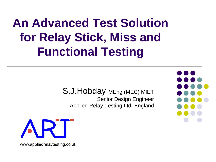# **An Advanced Test Solution for Relay Stick, Miss and Functional Testing**

S.J. Hobday MEng (MEC) MIET Senior Design Engineer Applied Relay Testing Ltd, England



www.appliedrelaytesting.co.uk

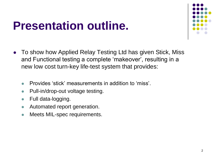#### **Presentation outline.**



- To show how Applied Relay Testing Ltd has given Stick, Miss and Functional testing a complete 'makeover', resulting in a new low cost turn-key life-test system that provides:
	- Provides 'stick' measurements in addition to 'miss'.
	- Pull-in/drop-out voltage testing.
	- Full data-logging.
	- Automated report generation.
	- Meets MIL-spec requirements.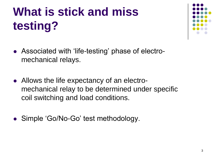# **What is stick and miss testing?**



- Associated with 'life-testing' phase of electromechanical relays.
- Allows the life expectancy of an electromechanical relay to be determined under specific coil switching and load conditions.
- Simple 'Go/No-Go' test methodology.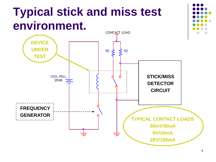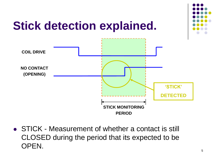

• STICK - Measurement of whether a contact is still CLOSED during the period that its expected to be OPEN.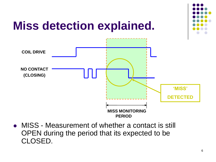

• MISS - Measurement of whether a contact is still OPEN during the period that its expected to be CLOSED.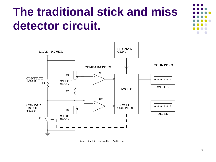### **The traditional stick and miss detector circuit.**





Figure : Simplified Stick and Miss Architecture.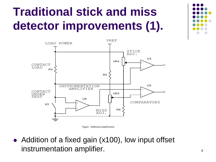# **Traditional stick and miss detector improvements (1).**



Figure : Additional amplification.

• Addition of a fixed gain (x100), low input offset instrumentation amplifier.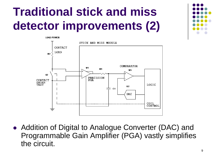# **Traditional stick and miss detector improvements (2)**



• Addition of Digital to Analogue Converter (DAC) and Programmable Gain Amplifier (PGA) vastly simplifies the circuit.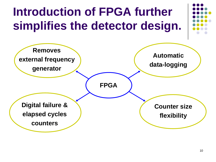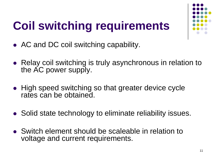# **Coil switching requirements**



- AC and DC coil switching capability.
- Relay coil switching is truly asynchronous in relation to the AC power supply.
- High speed switching so that greater device cycle rates can be obtained.
- Solid state technology to eliminate reliability issues.
- Switch element should be scaleable in relation to voltage and current requirements.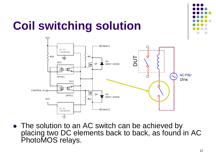

# **Coil switching solution**



• The solution to an AC switch can be achieved by placing two DC elements back to back, as found in AC PhotoMOS relays.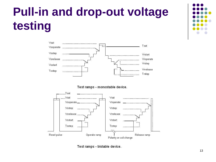# **Pull-in and drop-out voltage testing**



Test ramps - monostable device.



Test ramps - bistable device.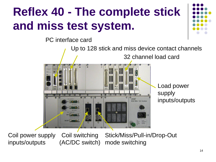# **Reflex 40 - The complete stick and miss test system.**

PC interface card



Coil power supply inputs/outputs

Coil switching (AC/DC switch)

Stick/Miss/Pull-in/Drop-Out mode switching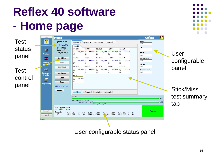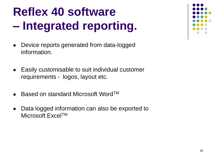## **Reflex 40 software – Integrated reporting.**

- Device reports generated from data-logged information.
- Easily customisable to suit individual customer requirements - logos, layout etc.
- Based on standard Microsoft Word™
- Data logged information can also be exported to Microsoft Excel™